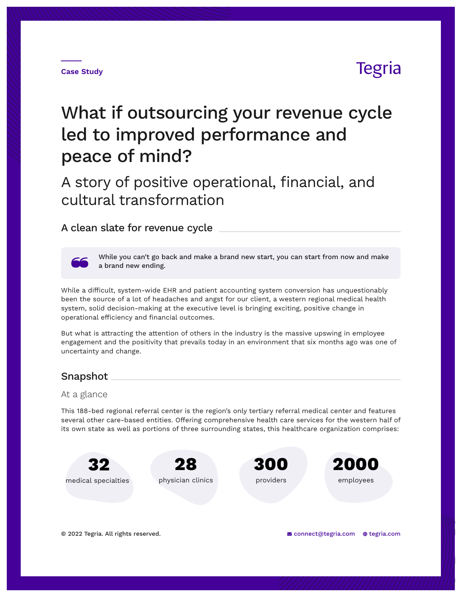# **Tegria**

# What if outsourcing your revenue cycle led to improved performance and peace of mind?

A story of positive operational, financial, and cultural transformation

## A clean slate for revenue cycle



While you can't go back and make a brand new start, you can start from now and make a brand new ending.

While a difficult, system-wide EHR and patient accounting system conversion has unquestionably been the source of a lot of headaches and angst for our client, a western regional medical health system, solid decision-making at the executive level is bringing exciting, positive change in operational efficiency and financial outcomes.

But what is attracting the attention of others in the industry is the massive upswing in employee engagement and the positivity that prevails today in an environment that six months ago was one of uncertainty and change.

## Snapshot

### At a glance

This 188-bed regional referral center is the region's only tertiary referral medical center and features several other care-based entities. Offering comprehensive health care services for the western half of its own state as well as portions of three surrounding states, this healthcare organization comprises:

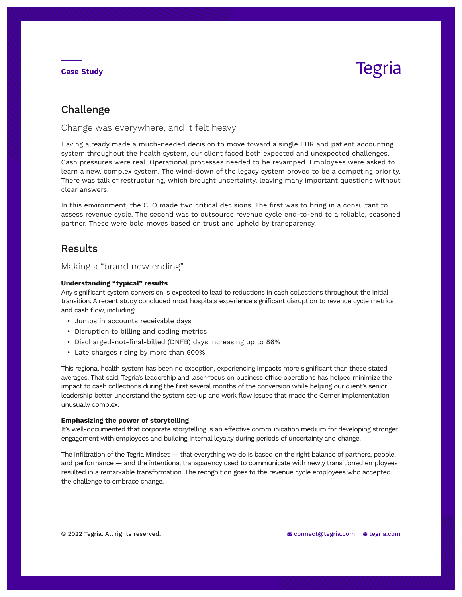# Tegria

## Challenge

Change was everywhere, and it felt heavy

Having already made a much-needed decision to move toward a single EHR and patient accounting system throughout the health system, our client faced both expected and unexpected challenges. Cash pressures were real. Operational processes needed to be revamped. Employees were asked to learn a new, complex system. The wind-down of the legacy system proved to be a competing priority. There was talk of restructuring, which brought uncertainty, leaving many important questions without clear answers.

In this environment, the CFO made two critical decisions. The first was to bring in a consultant to assess revenue cycle. The second was to outsource revenue cycle end-to-end to a reliable, seasoned partner. These were bold moves based on trust and upheld by transparency.

## Results

## Making a "brand new ending"

#### **Understanding "typical" results**

Any significant system conversion is expected to lead to reductions in cash collections throughout the initial transition. A recent study concluded most hospitals experience significant disruption to revenue cycle metrics and cash flow, including:

- Jumps in accounts receivable days
- Disruption to billing and coding metrics
- Discharged-not-final-billed (DNFB) days increasing up to 86%
- Late charges rising by more than 600%

This regional health system has been no exception, experiencing impacts more significant than these stated averages. That said, Tegria's leadership and laser-focus on business office operations has helped minimize the impact to cash collections during the first several months of the conversion while helping our client's senior leadership better understand the system set-up and work flow issues that made the Cerner implementation unusually complex.

#### **Emphasizing the power of storytelling**

It's well-documented that corporate storytelling is an effective communication medium for developing stronger engagement with employees and building internal loyalty during periods of uncertainty and change.

The infiltration of the Tegria Mindset — that everything we do is based on the right balance of partners, people, and performance — and the intentional transparency used to communicate with newly transitioned employees resulted in a remarkable transformation. The recognition goes to the revenue cycle employees who accepted the challenge to embrace change.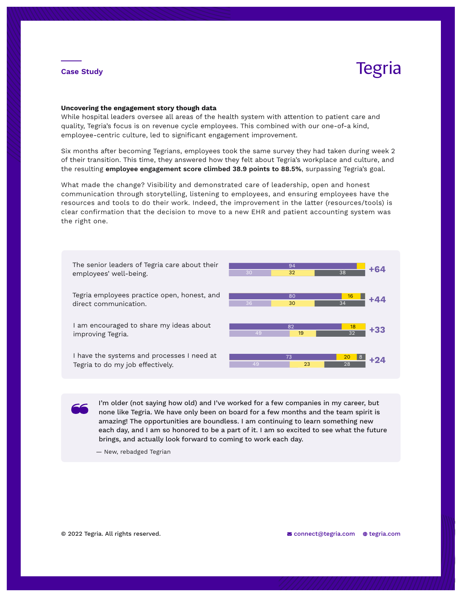# **Tegria**

#### **Uncovering the engagement story though data**

While hospital leaders oversee all areas of the health system with attention to patient care and quality, Tegria's focus is on revenue cycle employees. This combined with our one-of-a kind, employee-centric culture, led to significant engagement improvement.

Six months after becoming Tegrians, employees took the same survey they had taken during week 2 of their transition. This time, they answered how they felt about Tegria's workplace and culture, and the resulting **employee engagement score climbed 38.9 points to 88.5%**, surpassing Tegria's goal.

What made the change? Visibility and demonstrated care of leadership, open and honest communication through storytelling, listening to employees, and ensuring employees have the resources and tools to do their work. Indeed, the improvement in the latter (resources/tools) is clear confirmation that the decision to move to a new EHR and patient accounting system was the right one.



I'm older (not saying how old) and I've worked for a few companies in my career, but none like Tegria. We have only been on board for a few months and the team spirit is amazing! The opportunities are boundless. I am continuing to learn something new each day, and I am so honored to be a part of it. I am so excited to see what the future brings, and actually look forward to coming to work each day.

— New, rebadged Tegrian